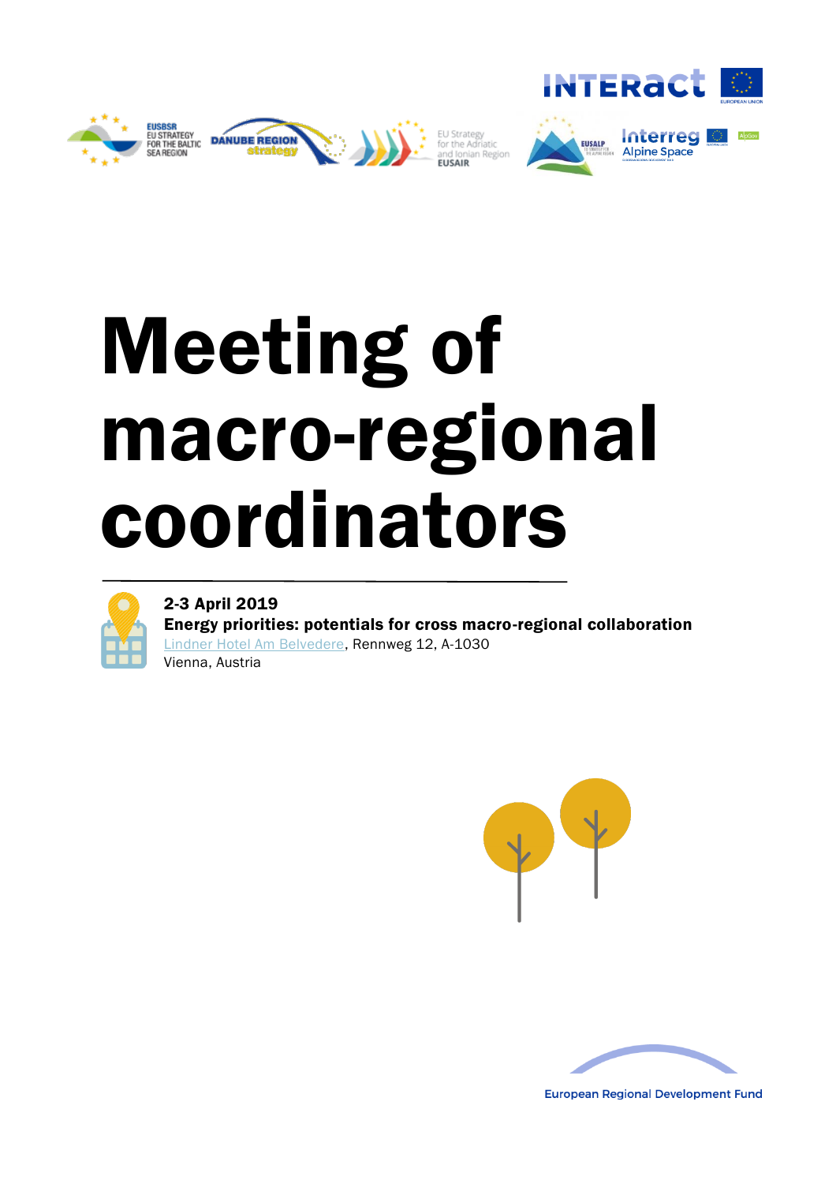





# Meeting of macro-regional coordinators



2-3 April 2019

Energy priorities: potentials for cross macro-regional collaboration [Lindner Hotel Am Belvedere,](https://www.lindner.de/en/vienna-hotel-am-belvedere/welcome.html) Rennweg 12, A-1030 Vienna, Austria





**European Regional Development Fund**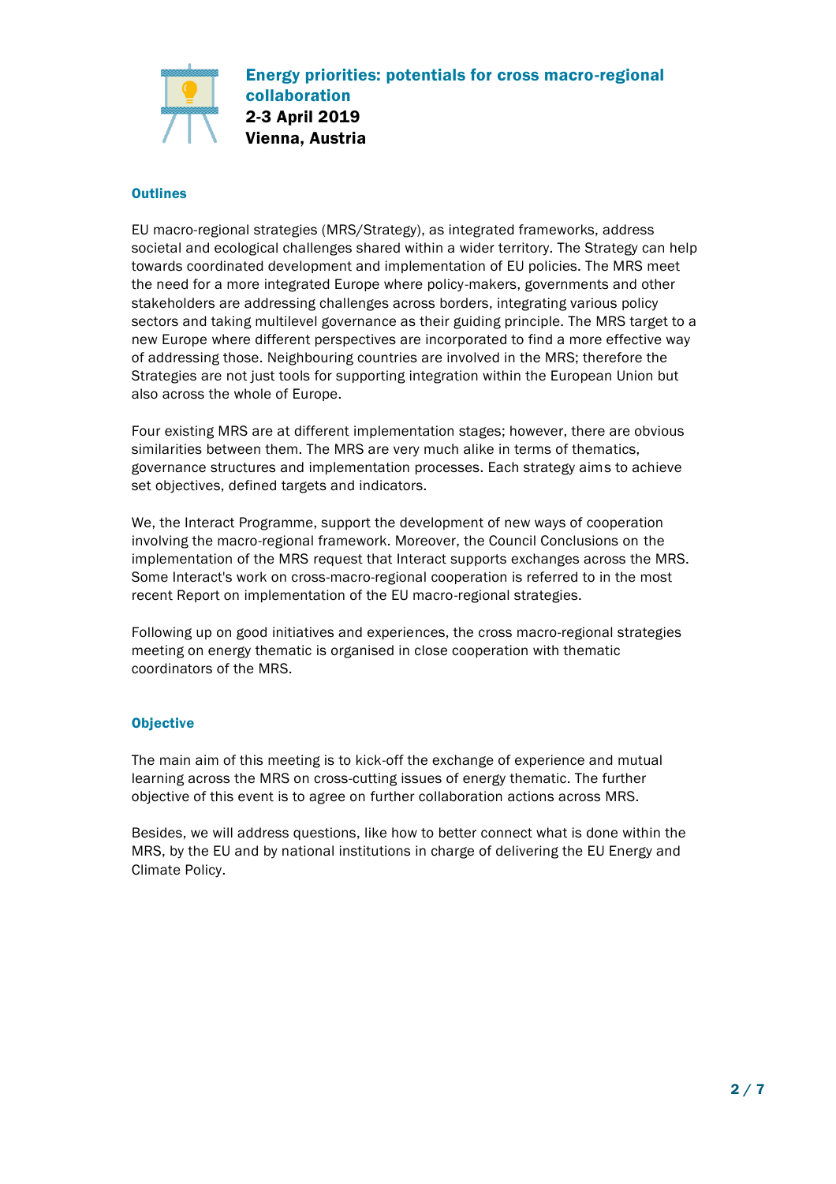

# **Outlines**

EU macro-regional strategies (MRS/Strategy), as integrated frameworks, address societal and ecological challenges shared within a wider territory. The Strategy can help towards coordinated development and implementation of EU policies. The MRS meet the need for a more integrated Europe where policy-makers, governments and other stakeholders are addressing challenges across borders, integrating various policy sectors and taking multilevel governance as their guiding principle. The MRS target to a new Europe where different perspectives are incorporated to find a more effective way of addressing those. Neighbouring countries are involved in the MRS; therefore the Strategies are not just tools for supporting integration within the European Union but also across the whole of Europe.

Four existing MRS are at different implementation stages; however, there are obvious similarities between them. The MRS are very much alike in terms of thematics, governance structures and implementation processes. Each strategy aims to achieve set objectives, defined targets and indicators.

We, the Interact Programme, support the development of new ways of cooperation involving the macro-regional framework. Moreover, the Council Conclusions on the implementation of the MRS request that Interact supports exchanges across the MRS. Some Interact's work on cross-macro-regional cooperation is referred to in the most recent Report on implementation of the EU macro-regional strategies.

Following up on good initiatives and experiences, the cross macro-regional strategies meeting on energy thematic is organised in close cooperation with thematic coordinators of the MRS.

## **Objective**

The main aim of this meeting is to kick-off the exchange of experience and mutual learning across the MRS on cross-cutting issues of energy thematic. The further objective of this event is to agree on further collaboration actions across MRS.

Besides, we will address questions, like how to better connect what is done within the MRS, by the EU and by national institutions in charge of delivering the EU Energy and Climate Policy.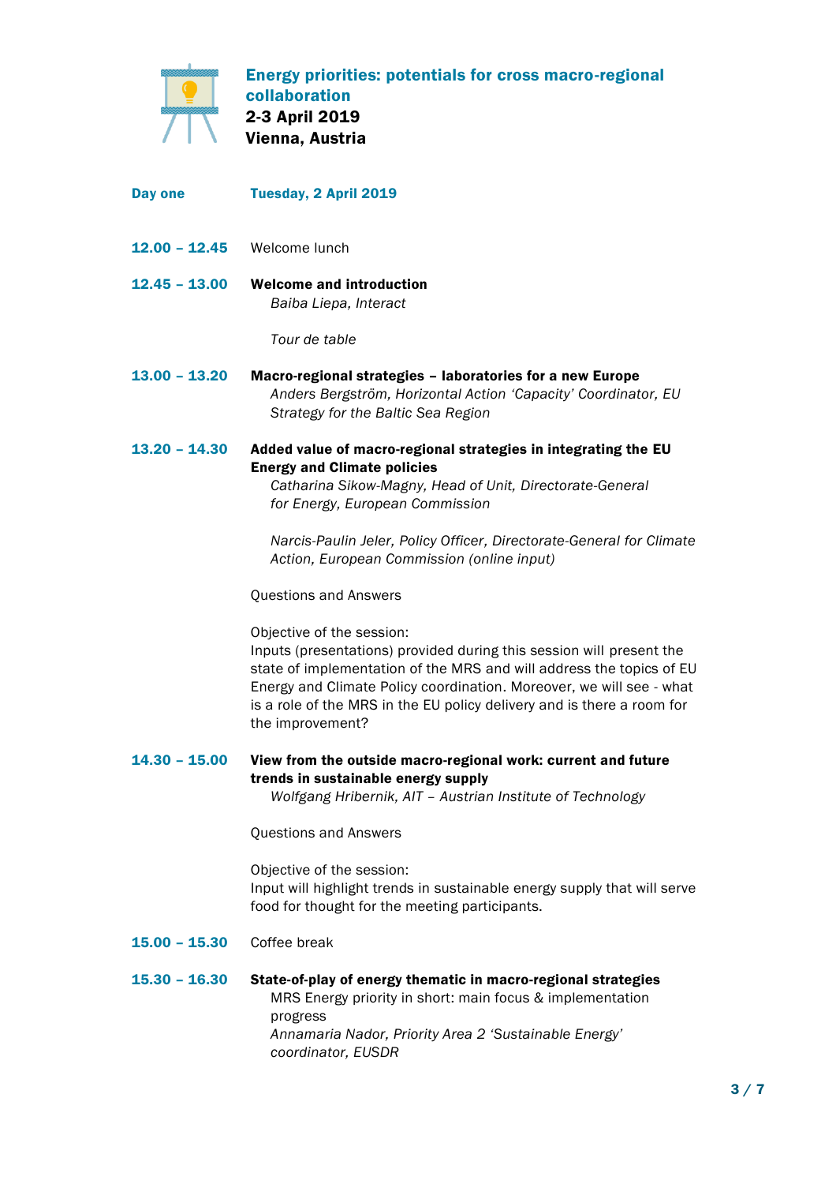

Day one 12.00 – 12.45 12.45 – 13.00 13.00 – 13.20 13.20 – 14.30 14.30 – 15.00 Tuesday, 2 April 2019 Welcome lunch Welcome and introduction *Baiba Liepa, Interact Tour de table* Macro-regional strategies – laboratories for a new Europe *Anders Bergström, Horizontal Action 'Capacity' Coordinator, EU Strategy for the Baltic Sea Region* Added value of macro-regional strategies in integrating the EU Energy and Climate policies *Catharina Sikow-Magny, Head of Unit, Directorate-General for Energy, European Commission Narcis-Paulin Jeler, Policy Officer, Directorate-General for Climate Action, European Commission (online input)* Questions and Answers Objective of the session: Inputs (presentations) provided during this session will present the state of implementation of the MRS and will address the topics of EU Energy and Climate Policy coordination. Moreover, we will see - what is a role of the MRS in the EU policy delivery and is there a room for the improvement? View from the outside macro-regional work: current and future trends in sustainable energy supply *Wolfgang Hribernik, AIT – Austrian Institute of Technology*

Questions and Answers

Objective of the session: Input will highlight trends in sustainable energy supply that will serve food for thought for the meeting participants.

- 15.00 15.30 Coffee break
- 15.30 16.30 State-of-play of energy thematic in macro-regional strategies MRS Energy priority in short: main focus & implementation progress *Annamaria Nador, Priority Area 2 'Sustainable Energy' coordinator, EUSDR*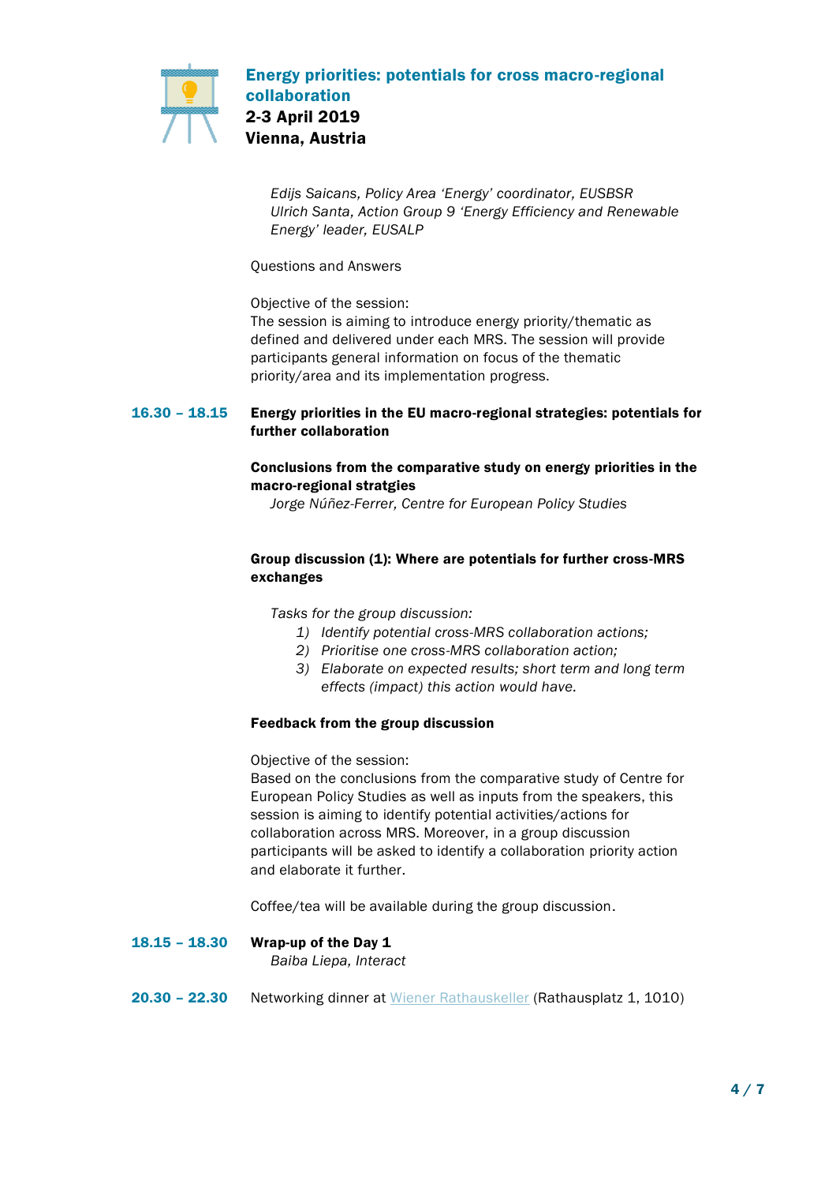

*Edijs Saicans, Policy Area 'Energy' coordinator, EUSBSR Ulrich Santa, Action Group 9 'Energy Efficiency and Renewable Energy' leader, EUSALP*

Questions and Answers

Objective of the session:

The session is aiming to introduce energy priority/thematic as defined and delivered under each MRS. The session will provide participants general information on focus of the thematic priority/area and its implementation progress.

### 16.30 – 18.15 Energy priorities in the EU macro-regional strategies: potentials for further collaboration

# Conclusions from the comparative study on energy priorities in the macro-regional stratgies

*Jorge Núñez-Ferrer, Centre for European Policy Studies* 

# Group discussion (1): Where are potentials for further cross-MRS exchanges

*Tasks for the group discussion:*

- *1) Identify potential cross-MRS collaboration actions;*
- *2) Prioritise one cross-MRS collaboration action;*
- *3) Elaborate on expected results; short term and long term effects (impact) this action would have.*

# Feedback from the group discussion

Objective of the session:

Based on the conclusions from the comparative study of Centre for European Policy Studies as well as inputs from the speakers, this session is aiming to identify potential activities/actions for collaboration across MRS. Moreover, in a group discussion participants will be asked to identify a collaboration priority action and elaborate it further.

Coffee/tea will be available during the group discussion.

18.15 – 18.30 Wrap-up of the Day 1

*Baiba Liepa, Interact*

20.30 – 22.30 Networking dinner at [Wiener Rathauskeller](https://www.wiener-rathauskeller.at/en) (Rathausplatz 1, 1010)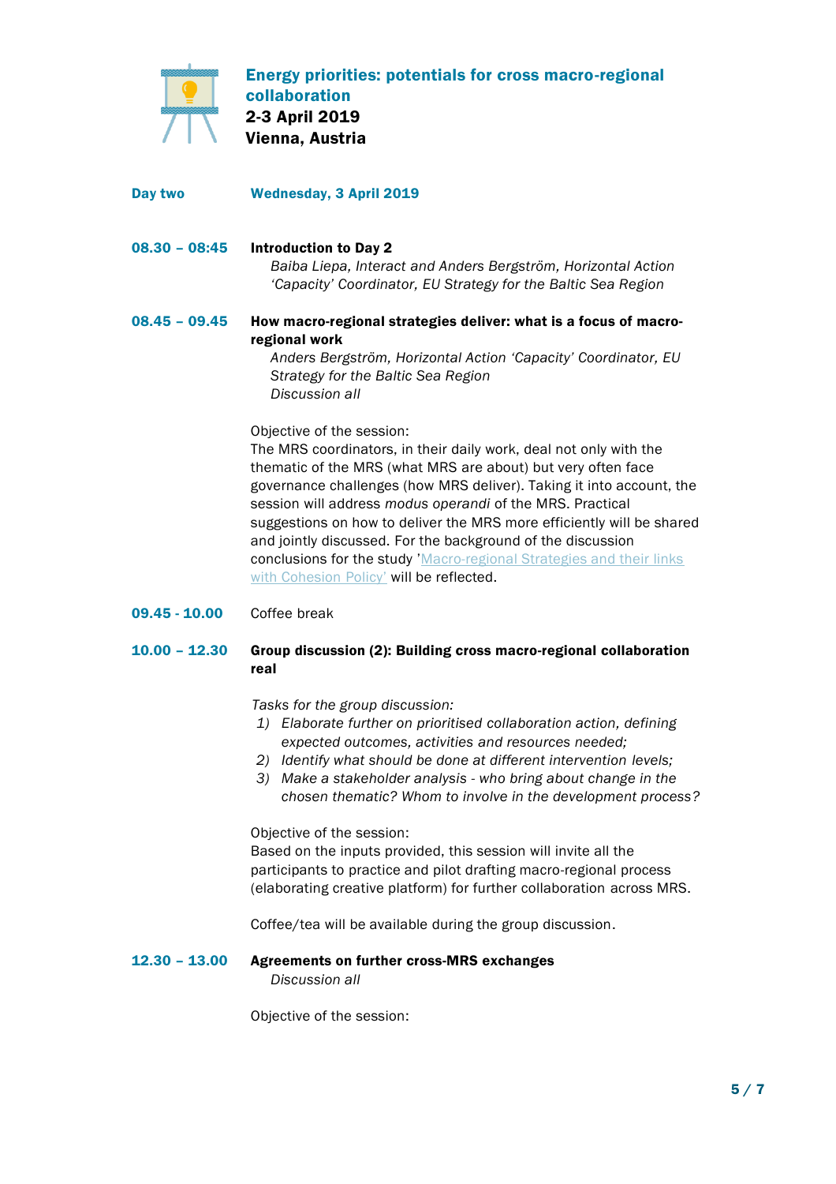

- Day two Wednesday, 3 April 2019
- 08.30 08:45 Introduction to Day 2 *Baiba Liepa, Interact and Anders Bergström, Horizontal Action 'Capacity' Coordinator, EU Strategy for the Baltic Sea Region*

### 08.45 – 09.45 How macro-regional strategies deliver: what is a focus of macroregional work

*Anders Bergström, Horizontal Action 'Capacity' Coordinator, EU Strategy for the Baltic Sea Region Discussion all*

Objective of the session:

The MRS coordinators, in their daily work, deal not only with the thematic of the MRS (what MRS are about) but very often face governance challenges (how MRS deliver). Taking it into account, the session will address *modus operandi* of the MRS. Practical suggestions on how to deliver the MRS more efficiently will be shared and jointly discussed. For the background of the discussion conclusions for the study 'Macro-regional Strategies and their links [with Cohesion Policy](https://ec.europa.eu/regional_policy/en/information/publications/studies/2017/macro-regional-strategies-and-their-links-with-cohesion-policy)' will be reflected.

09.45 - 10.00 Coffee break

### 10.00 – 12.30 Group discussion (2): Building cross macro-regional collaboration real

*Tasks for the group discussion:*

- *1) Elaborate further on prioritised collaboration action, defining expected outcomes, activities and resources needed;*
- *2) Identify what should be done at different intervention levels;*
- *3) Make a stakeholder analysis - who bring about change in the chosen thematic? Whom to involve in the development process?*

Objective of the session:

Based on the inputs provided, this session will invite all the participants to practice and pilot drafting macro-regional process (elaborating creative platform) for further collaboration across MRS.

Coffee/tea will be available during the group discussion.

12.30 – 13.00 Agreements on further cross-MRS exchanges *Discussion all*

Objective of the session: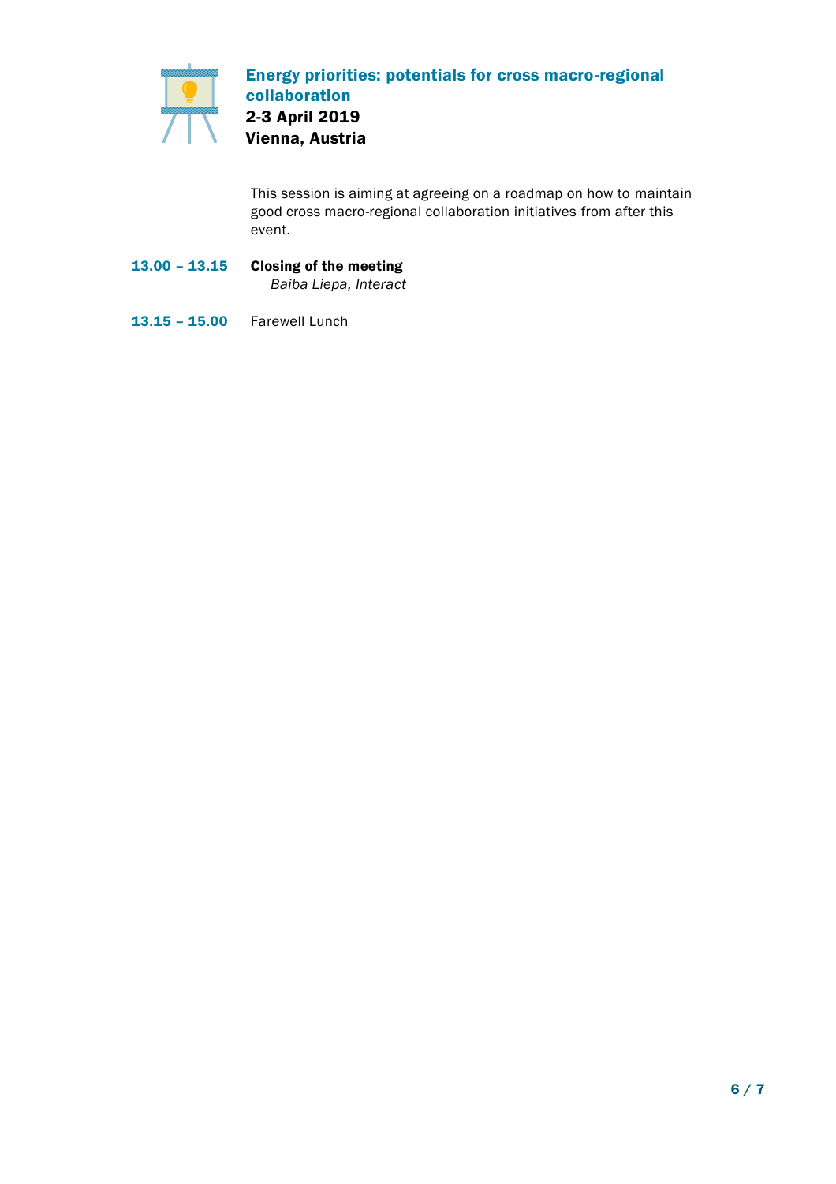

This session is aiming at agreeing on a roadmap on how to maintain good cross macro-regional collaboration initiatives from after this event.

- 13.00 13.15 Closing of the meeting *Baiba Liepa, Interact*
- 13.15 15.00 Farewell Lunch